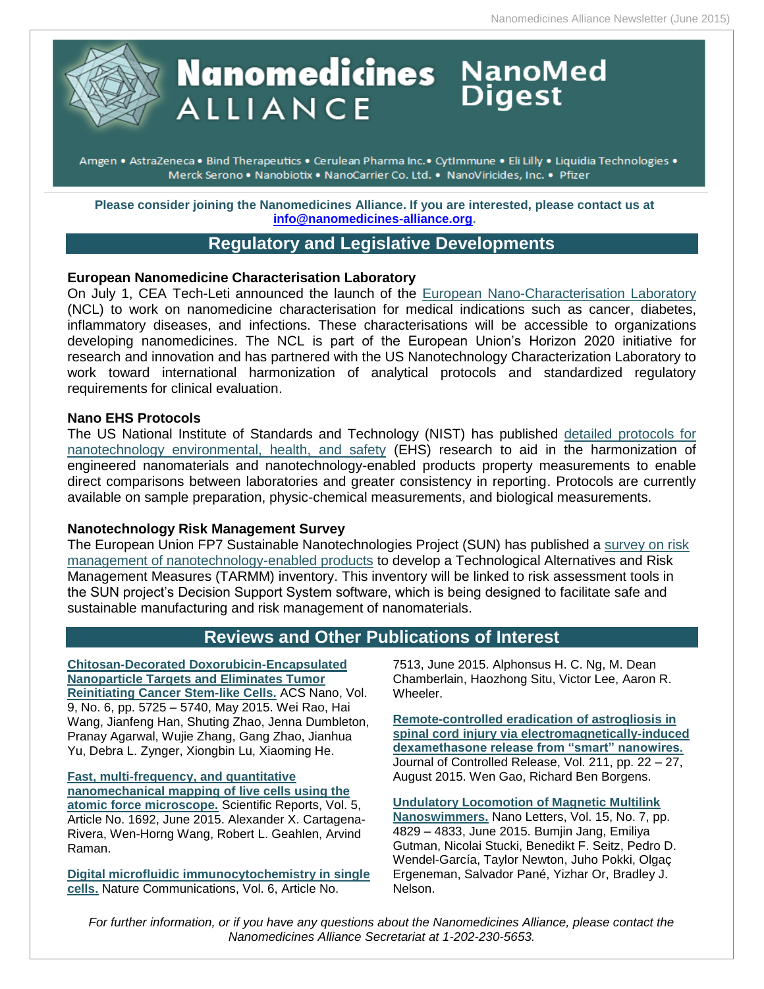

# **Nanomedicines** NanoMed **ALLIANCE**

Amgen • AstraZeneca • Bind Therapeutics • Cerulean Pharma Inc. • CytImmune • Eli Lilly • Liquidia Technologies • Merck Serono . Nanobiotix . NanoCarrier Co. Ltd. . NanoViricides, Inc. . Pfizer

**Please consider joining the Nanomedicines Alliance. If you are interested, please contact us at [info@nanomedicines-alliance.org.](file:///C:/NRPortbl/ACTIVE/ROBERTAF/info@nanomedicines-alliance.org)**

# **Regulatory and Legislative Developments**

#### **European Nanomedicine Characterisation Laboratory**

On July 1, CEA Tech-Leti announced the launch of the [European Nano-Characterisation Laboratory](https://www.google.com/url?sa=t&rct=j&q=&esrc=s&source=web&cd=1&ved=0CB8QFjAAahUKEwiI-YrExOzGAhXB0oAKHVXGDHQ&url=http%3A%2F%2Fwww-leti.cea.fr%2Fen%2Fcontent%2Fdownload%2F2470%2F29654%2Ffile%2F2015-07-01-NANMOD_EN.pdf&ei=umSuVYi0LsGlgwTVjLOgBw&usg=AFQjCNF8UdQ5_xejZV-nvzXWeWzZMTSqGw&sig2=qBGqSnfJ0mJhNgRjlZjHmw&bvm=bv.98197061,d.eXY&cad=rja) (NCL) to work on nanomedicine characterisation for medical indications such as cancer, diabetes, inflammatory diseases, and infections. These characterisations will be accessible to organizations developing nanomedicines. The NCL is part of the European Union's Horizon 2020 initiative for research and innovation and has partnered with the US Nanotechnology Characterization Laboratory to work toward international harmonization of analytical protocols and standardized regulatory requirements for clinical evaluation.

#### **Nano EHS Protocols**

The US National Institute of Standards and Technology (NIST) has published [detailed protocols for](http://www.nist.gov/mml/nanoehs-protocols.cfm)  [nanotechnology environmental, health, and safety](http://www.nist.gov/mml/nanoehs-protocols.cfm) (EHS) research to aid in the harmonization of engineered nanomaterials and nanotechnology-enabled products property measurements to enable direct comparisons between laboratories and greater consistency in reporting. Protocols are currently available on sample preparation, physic-chemical measurements, and biological measurements.

#### **Nanotechnology Risk Management Survey**

The European Union FP7 Sustainable Nanotechnologies Project (SUN) has published a [survey on risk](http://www.sun-fp7.eu/take-a-survey-on-risk-management-of-nanotechnology/)  [management of nanotechnology-enabled products](http://www.sun-fp7.eu/take-a-survey-on-risk-management-of-nanotechnology/) to develop a Technological Alternatives and Risk Management Measures (TARMM) inventory. This inventory will be linked to risk assessment tools in the SUN project's Decision Support System software, which is being designed to facilitate safe and sustainable manufacturing and risk management of nanomaterials.

# **Reviews and Other Publications of Interest**

**[Chitosan-Decorated Doxorubicin-Encapsulated](http://pubs.acs.org/doi/abs/10.1021/nn506928p)  [Nanoparticle Targets and Eliminates Tumor](http://pubs.acs.org/doi/abs/10.1021/nn506928p)  Reinitiating [Cancer Stem-like Cells.](http://pubs.acs.org/doi/abs/10.1021/nn506928p)** ACS Nano, Vol. 9, No. 6, pp. 5725 – 5740, May 2015. Wei Rao, Hai Wang, Jianfeng Han, Shuting Zhao, Jenna Dumbleton, Pranay Agarwal, Wujie Zhang, Gang Zhao, Jianhua Yu, Debra L. Zynger, Xiongbin Lu, Xiaoming He.

**[Fast, multi-frequency, and quantitative](http://www.nature.com/srep/2015/150629/srep11692/full/srep11692.html)  [nanomechanical mapping of live cells using the](http://www.nature.com/srep/2015/150629/srep11692/full/srep11692.html)  [atomic force microscope.](http://www.nature.com/srep/2015/150629/srep11692/full/srep11692.html)** Scientific Reports, Vol. 5, Article No. 1692, June 2015. Alexander X. Cartagena-Rivera, Wen-Horng Wang, Robert L. Geahlen, Arvind Raman.

**[Digital microfluidic immunocytochemistry in single](http://www.nature.com/ncomms/2015/150624/ncomms8513/full/ncomms8513.html)  [cells.](http://www.nature.com/ncomms/2015/150624/ncomms8513/full/ncomms8513.html)** Nature Communications, Vol. 6, Article No.

7513, June 2015. Alphonsus H. C. Ng, M. Dean Chamberlain, Haozhong Situ, Victor Lee, Aaron R. Wheeler.

**[Remote-controlled eradication of astrogliosis in](http://www.sciencedirect.com/science/article/pii/S0168365915005647)  [spinal cord injury via electromagnetically-induced](http://www.sciencedirect.com/science/article/pii/S0168365915005647)  [dexamethasone release from "smart" nanowires.](http://www.sciencedirect.com/science/article/pii/S0168365915005647)** Journal of Controlled Release, Vol. 211, pp. 22 – 27, August 2015. Wen Gao, Richard Ben Borgens.

**[Undulatory Locomotion of Magnetic Multilink](http://pubs.acs.org/doi/abs/10.1021/acs.nanolett.5b01981)  [Nanoswimmers.](http://pubs.acs.org/doi/abs/10.1021/acs.nanolett.5b01981)** Nano Letters, Vol. 15, No. 7, pp. 4829 – 4833, June 2015. Bumjin Jang, Emiliya Gutman, Nicolai Stucki, Benedikt F. Seitz, Pedro D. Wendel-García, Taylor Newton, Juho Pokki, Olgaç Ergeneman, Salvador Pané, Yizhar Or, Bradley J. Nelson.

*For further information, or if you have any questions about the Nanomedicines Alliance, please contact the Nanomedicines Alliance Secretariat at 1-202-230-5653.*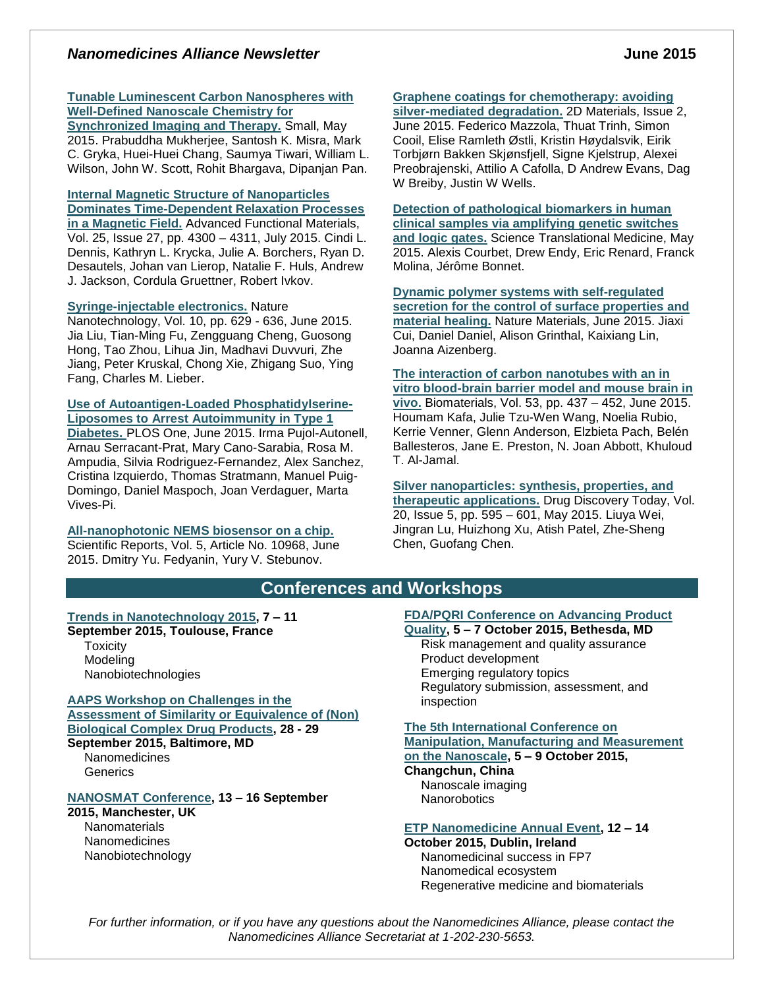#### *Nanomedicines Alliance Newsletter* **June 2015**

#### **[Tunable Luminescent Carbon Nanospheres with](http://onlinelibrary.wiley.com/doi/10.1002/smll.201500728/abstract;jsessionid=FBF55F2CED28A838A3A993B004A55B44.f01t02)  [Well-Defined Nanoscale Chemistry for](http://onlinelibrary.wiley.com/doi/10.1002/smll.201500728/abstract;jsessionid=FBF55F2CED28A838A3A993B004A55B44.f01t02)**

**[Synchronized Imaging and Therapy.](http://onlinelibrary.wiley.com/doi/10.1002/smll.201500728/abstract;jsessionid=FBF55F2CED28A838A3A993B004A55B44.f01t02)** Small, May 2015. Prabuddha Mukherjee, Santosh K. Misra, Mark C. Gryka, Huei-Huei Chang, Saumya Tiwari, William L. Wilson, John W. Scott, Rohit Bhargava, Dipanjan Pan.

**[Internal Magnetic Structure of Nanoparticles](http://onlinelibrary.wiley.com/doi/10.1002/adfm.201500405/abstract)  [Dominates Time-Dependent Relaxation Processes](http://onlinelibrary.wiley.com/doi/10.1002/adfm.201500405/abstract)  [in a Magnetic Field.](http://onlinelibrary.wiley.com/doi/10.1002/adfm.201500405/abstract)** Advanced Functional Materials, Vol. 25, Issue 27, pp. 4300 – 4311, July 2015. Cindi L. Dennis, Kathryn L. Krycka, Julie A. Borchers, Ryan D. Desautels, Johan van Lierop, Natalie F. Huls, Andrew J. Jackson, Cordula Gruettner, Robert Ivkov.

#### **[Syringe-injectable electronics.](http://www.nature.com/nnano/journal/v10/n7/full/nnano.2015.115.html)** Nature

Nanotechnology, Vol. 10, pp. 629 - 636, June 2015. Jia Liu, Tian-Ming Fu, Zengguang Cheng, Guosong Hong, Tao Zhou, Lihua Jin, Madhavi Duvvuri, Zhe Jiang, Peter Kruskal, Chong Xie, Zhigang Suo, Ying Fang, Charles M. Lieber.

#### **[Use of Autoantigen-Loaded Phosphatidylserine-](http://journals.plos.org/plosone/article?id=10.1371/journal.pone.0127057)[Liposomes to Arrest Autoimmunity in Type 1](http://journals.plos.org/plosone/article?id=10.1371/journal.pone.0127057)**

**[Diabetes.](http://journals.plos.org/plosone/article?id=10.1371/journal.pone.0127057)** PLOS One, June 2015. Irma Pujol-Autonell, Arnau Serracant-Prat, Mary Cano-Sarabia, Rosa M. Ampudia, Silvia Rodriguez-Fernandez, Alex Sanchez, Cristina Izquierdo, Thomas Stratmann, Manuel Puig-Domingo, Daniel Maspoch, Joan Verdaguer, Marta Vives-Pi.

#### **[All-nanophotonic NEMS biosensor on a chip.](http://www.nature.com/srep/2015/150604/srep10968/full/srep10968.html)**

Scientific Reports, Vol. 5, Article No. 10968, June 2015. Dmitry Yu. Fedyanin, Yury V. Stebunov.

# **[Graphene coatings for chemotherapy: avoiding](http://iopscience.iop.org/2053-1583/2/2/025004/)**

**[silver-mediated degradation.](http://iopscience.iop.org/2053-1583/2/2/025004/)** 2D Materials, Issue 2, June 2015. Federico Mazzola, Thuat Trinh, Simon Cooil, Elise Ramleth Østli, Kristin Høydalsvik, Eirik Torbjørn Bakken Skjønsfjell, Signe Kjelstrup, Alexei Preobrajenski, Attilio A Cafolla, D Andrew Evans, Dag W Breiby, Justin W Wells.

**[Detection of pathological biomarkers in human](http://stm.sciencemag.org/content/7/289/289ra83)  [clinical samples via amplifying genetic switches](http://stm.sciencemag.org/content/7/289/289ra83)  [and logic gates.](http://stm.sciencemag.org/content/7/289/289ra83)** Science Translational Medicine, May 2015. Alexis Courbet, Drew Endy, Eric Renard, Franck Molina, Jérôme Bonnet.

**[Dynamic polymer systems with self-regulated](http://www.nature.com/nmat/journal/vaop/ncurrent/full/nmat4325.html)  [secretion for the control of surface properties and](http://www.nature.com/nmat/journal/vaop/ncurrent/full/nmat4325.html)  [material healing.](http://www.nature.com/nmat/journal/vaop/ncurrent/full/nmat4325.html)** Nature Materials, June 2015. Jiaxi Cui, Daniel Daniel, Alison Grinthal, Kaixiang Lin, Joanna Aizenberg.

**[The interaction of carbon nanotubes with an in](http://www.sciencedirect.com/science/article/pii/S0142961215002136)  [vitro blood-brain barrier model and mouse brain in](http://www.sciencedirect.com/science/article/pii/S0142961215002136)  [vivo.](http://www.sciencedirect.com/science/article/pii/S0142961215002136)** Biomaterials, Vol. 53, pp. 437 – 452, June 2015. Houmam Kafa, Julie Tzu-Wen Wang, Noelia Rubio, Kerrie Venner, Glenn Anderson, Elzbieta Pach, Belén Ballesteros, Jane E. Preston, N. Joan Abbott, Khuloud T. Al-Jamal.

**[Silver nanoparticles: synthesis, properties, and](http://www.sciencedirect.com/science/article/pii/S1359644614004681)  [therapeutic applications.](http://www.sciencedirect.com/science/article/pii/S1359644614004681)** Drug Discovery Today, Vol. 20, Issue 5, pp. 595 – 601, May 2015. Liuya Wei, Jingran Lu, Huizhong Xu, Atish Patel, Zhe-Sheng Chen, Guofang Chen.

#### **Conferences and Workshops**

#### **[Trends in Nanotechnology 2015,](http://www.tntconf.org/2015/index.php?conf=15) 7 – 11**

**September 2015, Toulouse, France Toxicity** Modeling Nanobiotechnologies

**[AAPS Workshop on Challenges in the](http://www.aaps.org/CDP/)  [Assessment of Similarity or Equivalence of \(Non\)](http://www.aaps.org/CDP/)  [Biological Complex Drug Products,](http://www.aaps.org/CDP/) 28 - 29 September 2015, Baltimore, MD Nanomedicines Generics** 

#### **[NANOSMAT Conference,](http://www.nanosmat-conference.com/default.asp) 13 – 16 September**

**2015, Manchester, UK Nanomaterials Nanomedicines** Nanobiotechnology

#### **[FDA/PQRI Conference on Advancing Product](http://www.pqri.org/Preliminary%20Program.2nd%20FDA.PQRI%20Conference.pdf)**

**[Quality,](http://www.pqri.org/Preliminary%20Program.2nd%20FDA.PQRI%20Conference.pdf) 5 – 7 October 2015, Bethesda, MD** Risk management and quality assurance Product development Emerging regulatory topics Regulatory submission, assessment, and inspection

#### **[The 5th International Conference on](http://www.3m-nano.org/2015/main/index.asp)  [Manipulation, Manufacturing and Measurement](http://www.3m-nano.org/2015/main/index.asp)**

**[on the Nanoscale,](http://www.3m-nano.org/2015/main/index.asp) 5 – 9 October 2015,** 

#### **Changchun, China**

Nanoscale imaging **Nanorobotics** 

#### **[ETP Nanomedicine Annual Event,](http://www.etp-nanomedicine.eu/public/news-events/events/etpn-annual-event-2015/etp-nanomedicine-annual-event-2015) 12 – 14**

**October 2015, Dublin, Ireland** Nanomedicinal success in FP7 Nanomedical ecosystem Regenerative medicine and biomaterials

*For further information, or if you have any questions about the Nanomedicines Alliance, please contact the Nanomedicines Alliance Secretariat at 1-202-230-5653.*